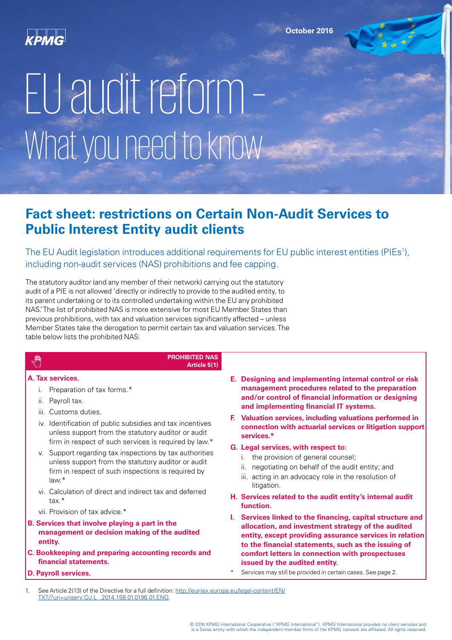

# EU audit reform – What you need to know

# **Fact sheet: restrictions on Certain Non-Audit Services to Public Interest Entity audit clients**

The EU Audit legislation introduces additional requirements for EU public interest entities (PIEs1 ), including non-audit services (NAS) prohibitions and fee capping.

The statutory auditor (and any member of their network) carrying out the statutory audit of a PIE is not allowed 'directly or indirectly to provide to the audited entity, to its parent undertaking or to its controlled undertaking within the EU any prohibited NAS.' The list of prohibited NAS is more extensive for most EU Member States than previous prohibitions, with tax and valuation services significantly affected – unless Member States take the derogation to permit certain tax and valuation services. The table below lists the prohibited NAS:

# $\sqrt{\frac{1}{2}}$

#### **PROHIBITED NAS Article 5(1)**

#### **A. Tax services.**

- i. Preparation of tax forms.\*
- ii. Payroll tax.
- iii. Customs duties.
- iv. Identification of public subsidies and tax incentives unless support from the statutory auditor or audit firm in respect of such services is required by law.\*
- v. Support regarding tax inspections by tax authorities unless support from the statutory auditor or audit firm in respect of such inspections is required by law.\*
- vi. Calculation of direct and indirect tax and deferred tax.\*
- vii. Provision of tax advice.\*
- **B. Services that involve playing a part in the management or decision making of the audited entity.**
- **C. Bookkeeping and preparing accounting records and financial statements.**
- **D. Payroll services.**
- **E. Designing and implementing internal control or risk management procedures related to the preparation and/or control of financial information or designing and implementing financial IT systems.**
- **F. Valuation services, including valuations performed in connection with actuarial services or litigation support services.\***
- **G. Legal services, with respect to:**
	- i. the provision of general counsel;
	- ii. negotiating on behalf of the audit entity; and
	- iii. acting in an advocacy role in the resolution of litigation.
- **H. Services related to the audit entity's internal audit function.**
- **I. Services linked to the financing, capital structure and allocation, and investment strategy of the audited entity, except providing assurance services in relation to the financial statements, such as the issuing of comfort letters in connection with prospectuses issued by the audited entity.**
	- Services may still be provided in certain cases. See page 2.
- See Article 2(13) of the Directive for a full definition: [http://eur-lex.europa.eu/legal-content/EN/](http://eur-lex.europa.eu/legal-content/EN/TXT/?uri=uriserv:OJ.L_.2014.158.01.0196.01.ENG) [TXT/?uri=uriserv:OJ.L\\_.2014.158.01.0196.01.ENG](http://eur-lex.europa.eu/legal-content/EN/TXT/?uri=uriserv:OJ.L_.2014.158.01.0196.01.ENG).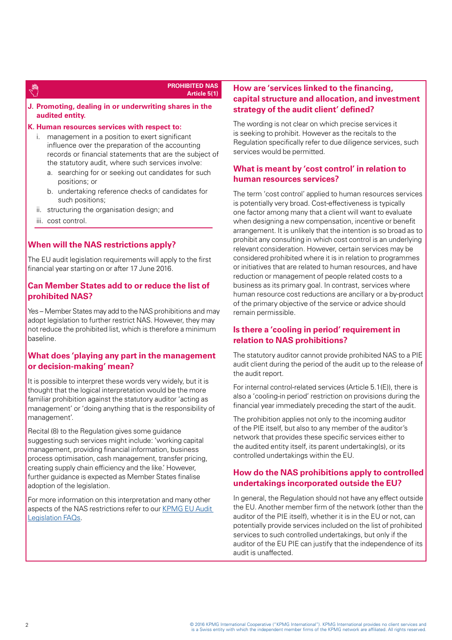### 牌

#### **PROHIBITED NAS Article 5(1)**

**J. Promoting, dealing in or underwriting shares in the audited entity.**

#### **K. Human resources services with respect to:**

- i. management in a position to exert significant influence over the preparation of the accounting records or financial statements that are the subject of the statutory audit, where such services involve:
	- a. searching for or seeking out candidates for such positions; or
	- b. undertaking reference checks of candidates for such positions;
- ii. structuring the organisation design; and
- iii. cost control.

#### **When will the NAS restrictions apply?**

The EU audit legislation requirements will apply to the first financial year starting on or after 17 June 2016.

#### **Can Member States add to or reduce the list of prohibited NAS?**

Yes – Member States may add to the NAS prohibitions and may adopt legislation to further restrict NAS. However, they may not reduce the prohibited list, which is therefore a minimum baseline.

#### **What does 'playing any part in the management or decision-making' mean?**

It is possible to interpret these words very widely, but it is thought that the logical interpretation would be the more familiar prohibition against the statutory auditor 'acting as management' or 'doing anything that is the responsibility of management'.

Recital (8) to the Regulation gives some guidance suggesting such services might include: 'working capital management, providing financial information, business process optimisation, cash management, transfer pricing, creating supply chain efficiency and the like.' However, further guidance is expected as Member States finalise adoption of the legislation.

For more information on this interpretation and many other aspects of the NAS restrictions refer to our KPMG EU Audit [Legislation FAQs.](https://home.kpmg.com/xx/en/home/insights/2016/02/eu-audit-legislation-frequently-asked-questions.html)

#### **How are 'services linked to the financing, capital structure and allocation, and investment strategy of the audit client' defined?**

The wording is not clear on which precise services it is seeking to prohibit. However as the recitals to the Regulation specifically refer to due diligence services, such services would be permitted.

#### **What is meant by 'cost control' in relation to human resources services?**

The term 'cost control' applied to human resources services is potentially very broad. Cost-effectiveness is typically one factor among many that a client will want to evaluate when designing a new compensation, incentive or benefit arrangement. It is unlikely that the intention is so broad as to prohibit any consulting in which cost control is an underlying relevant consideration. However, certain services may be considered prohibited where it is in relation to programmes or initiatives that are related to human resources, and have reduction or management of people related costs to a business as its primary goal. In contrast, services where human resource cost reductions are ancillary or a by-product of the primary objective of the service or advice should remain permissible.

#### **Is there a 'cooling in period' requirement in relation to NAS prohibitions?**

The statutory auditor cannot provide prohibited NAS to a PIE audit client during the period of the audit up to the release of the audit report.

For internal control-related services (Article 5.1(E)), there is also a 'cooling-in period' restriction on provisions during the financial year immediately preceding the start of the audit.

The prohibition applies not only to the incoming auditor of the PIE itself, but also to any member of the auditor's network that provides these specific services either to the audited entity itself, its parent undertaking(s), or its controlled undertakings within the EU.

#### **How do the NAS prohibitions apply to controlled undertakings incorporated outside the EU?**

In general, the Regulation should not have any effect outside the EU. Another member firm of the network (other than the auditor of the PIE itself), whether it is in the EU or not, can potentially provide services included on the list of prohibited services to such controlled undertakings, but only if the auditor of the EU PIE can justify that the independence of its audit is unaffected.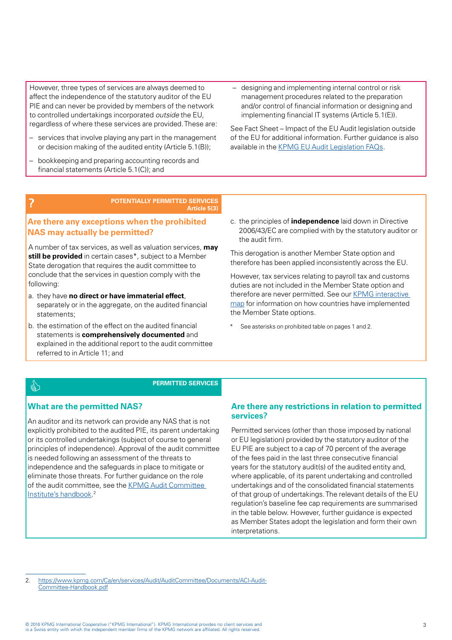However, three types of services are always deemed to affect the independence of the statutory auditor of the EU PIE and can never be provided by members of the network to controlled undertakings incorporated *outside* the EU, regardless of where these services are provided. These are:

- services that involve playing any part in the management or decision making of the audited entity (Article 5.1(B));
- bookkeeping and preparing accounting records and financial statements (Article 5.1(C)); and
- designing and implementing internal control or risk management procedures related to the preparation and/or control of financial information or designing and implementing financial IT systems (Article 5.1(E)).

See Fact Sheet – Impact of the EU Audit legislation outside of the EU for additional information. Further guidance is also available in the [KPMG EU Audit Legislation FAQs.](https://home.kpmg.com/xx/en/home/insights/2016/02/eu-audit-legislation-frequently-asked-questions.html)

**? POTENTIALLY PERMITTED SERVICES Article 5(3)**

#### **Are there any exceptions when the prohibited NAS may actually be permitted?**

A number of tax services, as well as valuation services, **may still be provided** in certain cases\*, subject to a Member State derogation that requires the audit committee to conclude that the services in question comply with the following:

- a. they have **no direct or have immaterial effect**, separately or in the aggregate, on the audited financial statements;
- b. the estimation of the effect on the audited financial statements is **comprehensively documented** and explained in the additional report to the audit committee referred to in Article 11; and

c. the principles of **independence** laid down in Directive 2006/43/EC are complied with by the statutory auditor or the audit firm.

This derogation is another Member State option and therefore has been applied inconsistently across the EU.

However, tax services relating to payroll tax and customs duties are not included in the Member State option and therefore are never permitted. See our [KPMG interactive](https://home.kpmg.com/xx/en/home/insights/2016/02/eu-audit-reform-interactive-map-of-member-state-legislation.html)  [map](https://home.kpmg.com/xx/en/home/insights/2016/02/eu-audit-reform-interactive-map-of-member-state-legislation.html) for information on how countries have implemented the Member State options.

See asterisks on prohibited table on pages 1 and 2.

## **PERMITTED SERVICES**

#### **What are the permitted NAS?**

An auditor and its network can provide any NAS that is not explicitly prohibited to the audited PIE, its parent undertaking or its controlled undertakings (subject of course to general principles of independence). Approval of the audit committee is needed following an assessment of the threats to independence and the safeguards in place to mitigate or eliminate those threats. For further guidance on the role of the audit committee, see the KPMG Audit Committee [Institute's handbook.](https://www.kpmg.com/Ca/en/services/Audit/AuditCommittee/Documents/ACI-Audit-Committee-Handbook.pdf) 2

#### **Are there any restrictions in relation to permitted services?**

Permitted services (other than those imposed by national or EU legislation) provided by the statutory auditor of the EU PIE are subject to a cap of 70 percent of the average of the fees paid in the last three consecutive financial years for the statutory audit(s) of the audited entity and, where applicable, of its parent undertaking and controlled undertakings and of the consolidated financial statements of that group of undertakings. The relevant details of the EU regulation's baseline fee cap requirements are summarised in the table below. However, further guidance is expected as Member States adopt the legislation and form their own interpretations.

2. [https://www.kpmg.com/Ca/en/services/Audit/AuditCommittee/Documents/ACI-Audit-](https://www.kpmg.com/Ca/en/services/Audit/AuditCommittee/Documents/ACI-Audit-Committee-Handbook.pdf)[Committee-Handbook.pdf](https://www.kpmg.com/Ca/en/services/Audit/AuditCommittee/Documents/ACI-Audit-Committee-Handbook.pdf)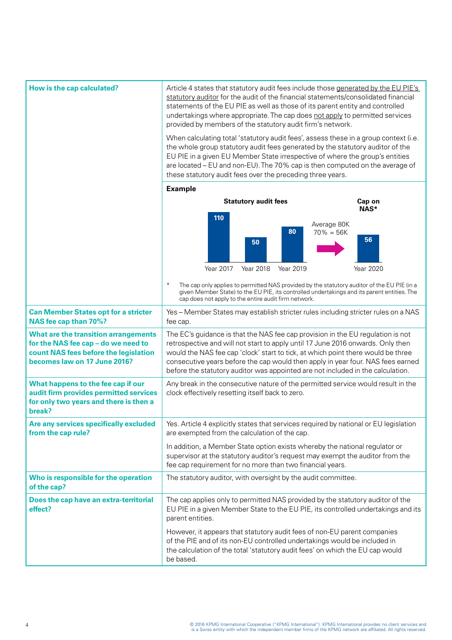| How is the cap calculated?                                                                                                                           | Article 4 states that statutory audit fees include those generated by the EU PIE's<br>statutory auditor for the audit of the financial statements/consolidated financial<br>statements of the EU PIE as well as those of its parent entity and controlled<br>undertakings where appropriate. The cap does not apply to permitted services<br>provided by members of the statutory audit firm's network.<br>When calculating total 'statutory audit fees', assess these in a group context (i.e.<br>the whole group statutory audit fees generated by the statutory auditor of the<br>EU PIE in a given EU Member State irrespective of where the group's entities<br>are located - EU and non-EU). The 70% cap is then computed on the average of<br>these statutory audit fees over the preceding three years. |  |  |
|------------------------------------------------------------------------------------------------------------------------------------------------------|-----------------------------------------------------------------------------------------------------------------------------------------------------------------------------------------------------------------------------------------------------------------------------------------------------------------------------------------------------------------------------------------------------------------------------------------------------------------------------------------------------------------------------------------------------------------------------------------------------------------------------------------------------------------------------------------------------------------------------------------------------------------------------------------------------------------|--|--|
|                                                                                                                                                      | <b>Example</b>                                                                                                                                                                                                                                                                                                                                                                                                                                                                                                                                                                                                                                                                                                                                                                                                  |  |  |
|                                                                                                                                                      | <b>Statutory audit fees</b><br>Cap on<br>NAS*                                                                                                                                                                                                                                                                                                                                                                                                                                                                                                                                                                                                                                                                                                                                                                   |  |  |
|                                                                                                                                                      | 110<br>Average 80K<br>80<br>$70\% = 56K$<br>56<br>50<br>Year 2017<br>Year 2018<br>Year 2020<br>Year 2019                                                                                                                                                                                                                                                                                                                                                                                                                                                                                                                                                                                                                                                                                                        |  |  |
|                                                                                                                                                      | The cap only applies to permitted NAS provided by the statutory auditor of the EU PIE (in a<br>given Member State) to the EU PIE, its controlled undertakings and its parent entities. The<br>cap does not apply to the entire audit firm network.                                                                                                                                                                                                                                                                                                                                                                                                                                                                                                                                                              |  |  |
| <b>Can Member States opt for a stricter</b><br>NAS fee cap than 70%?                                                                                 | Yes - Member States may establish stricter rules including stricter rules on a NAS<br>fee cap.                                                                                                                                                                                                                                                                                                                                                                                                                                                                                                                                                                                                                                                                                                                  |  |  |
| What are the transition arrangements<br>for the NAS fee cap - do we need to<br>count NAS fees before the legislation<br>becomes law on 17 June 2016? | The EC's guidance is that the NAS fee cap provision in the EU regulation is not<br>retrospective and will not start to apply until 17 June 2016 onwards. Only then<br>would the NAS fee cap 'clock' start to tick, at which point there would be three<br>consecutive years before the cap would then apply in year four. NAS fees earned<br>before the statutory auditor was appointed are not included in the calculation.                                                                                                                                                                                                                                                                                                                                                                                    |  |  |
| What happens to the fee cap if our<br>audit firm provides permitted services<br>for only two years and there is then a<br>break?                     | Any break in the consecutive nature of the permitted service would result in the<br>clock effectively resetting itself back to zero.                                                                                                                                                                                                                                                                                                                                                                                                                                                                                                                                                                                                                                                                            |  |  |
| Are any services specifically excluded<br>from the cap rule?                                                                                         | Yes. Article 4 explicitly states that services required by national or EU legislation<br>are exempted from the calculation of the cap.<br>In addition, a Member State option exists whereby the national regulator or<br>supervisor at the statutory auditor's request may exempt the auditor from the<br>fee cap requirement for no more than two financial years.                                                                                                                                                                                                                                                                                                                                                                                                                                             |  |  |
|                                                                                                                                                      |                                                                                                                                                                                                                                                                                                                                                                                                                                                                                                                                                                                                                                                                                                                                                                                                                 |  |  |
| Who is responsible for the operation<br>of the cap?                                                                                                  | The statutory auditor, with oversight by the audit committee.                                                                                                                                                                                                                                                                                                                                                                                                                                                                                                                                                                                                                                                                                                                                                   |  |  |
| Does the cap have an extra-territorial<br>effect?                                                                                                    | The cap applies only to permitted NAS provided by the statutory auditor of the<br>EU PIE in a given Member State to the EU PIE, its controlled undertakings and its<br>parent entities.                                                                                                                                                                                                                                                                                                                                                                                                                                                                                                                                                                                                                         |  |  |
|                                                                                                                                                      | However, it appears that statutory audit fees of non-EU parent companies<br>of the PIE and of its non-EU controlled undertakings would be included in<br>the calculation of the total 'statutory audit fees' on which the EU cap would<br>be based.                                                                                                                                                                                                                                                                                                                                                                                                                                                                                                                                                             |  |  |